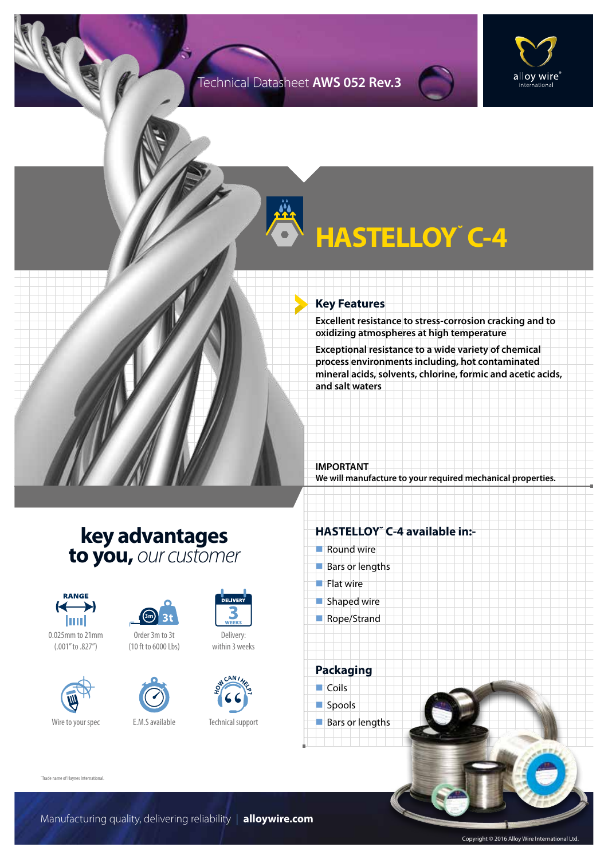### Technical Datasheet **AWS 052 Rev.3**



# **HASTELLOY˘ C-4**

#### **Key Features**

**Excellent resistance to stress-corrosion cracking and to oxidizing atmospheres at high temperature**

**Exceptional resistance to a wide variety of chemical process environments including, hot contaminated mineral acids, solvents, chlorine, formic and acetic acids, and salt waters**

**IMPORTANT We will manufacture to your required mechanical properties.**

## **key advantages to you,** *our customer*



0.025mm to 21mm (.001" to .827")





Order 3m to 3t (10 ft to 6000 Lbs)





Delivery: within 3 weeks



Technical support

### **HASTELLOY˘ C-4 available in:-**

- $\blacksquare$  Round wire
- $Bars$  or lengths
- $\blacksquare$  Flat wire
- $\blacksquare$  Shaped wire
- Rope/Strand

**Packaging**  $\Box$  Coils spools

 $\blacksquare$  Bars or lengths

˘Trade name of Haynes International.

Manufacturing quality, delivering reliability | **alloywire.com**

Copyright © 2016 Alloy Wire International Ltd.